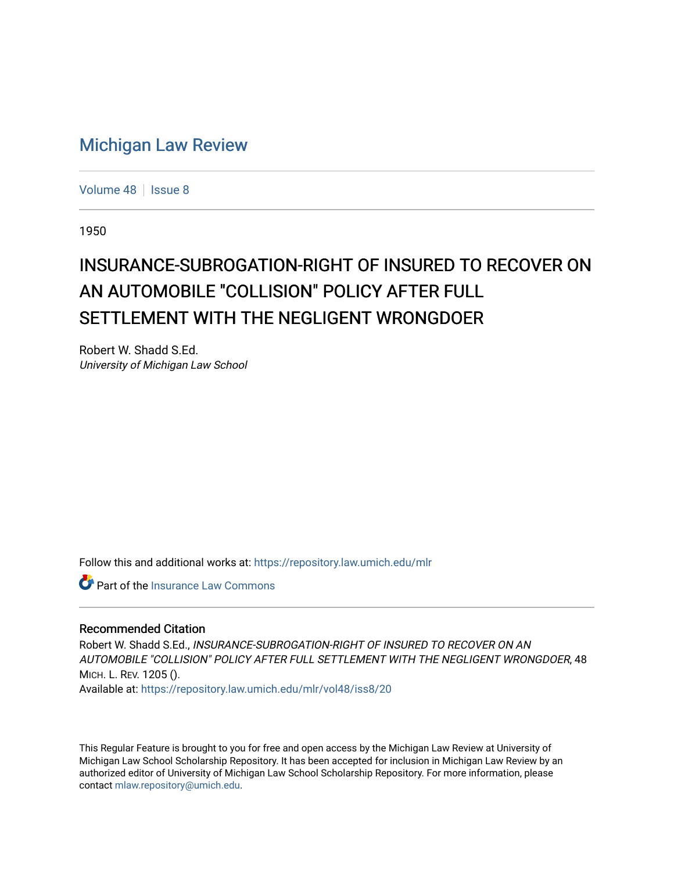## [Michigan Law Review](https://repository.law.umich.edu/mlr)

[Volume 48](https://repository.law.umich.edu/mlr/vol48) | [Issue 8](https://repository.law.umich.edu/mlr/vol48/iss8)

1950

## INSURANCE-SUBROGATION-RIGHT OF INSURED TO RECOVER ON AN AUTOMOBILE "COLLISION" POLICY AFTER FULL SETTLEMENT WITH THE NEGLIGENT WRONGDOER

Robert W. Shadd S.Ed. University of Michigan Law School

Follow this and additional works at: [https://repository.law.umich.edu/mlr](https://repository.law.umich.edu/mlr?utm_source=repository.law.umich.edu%2Fmlr%2Fvol48%2Fiss8%2F20&utm_medium=PDF&utm_campaign=PDFCoverPages) 

Part of the [Insurance Law Commons](http://network.bepress.com/hgg/discipline/607?utm_source=repository.law.umich.edu%2Fmlr%2Fvol48%2Fiss8%2F20&utm_medium=PDF&utm_campaign=PDFCoverPages)

## Recommended Citation

Robert W. Shadd S.Ed., INSURANCE-SUBROGATION-RIGHT OF INSURED TO RECOVER ON AN AUTOMOBILE "COLLISION" POLICY AFTER FULL SETTLEMENT WITH THE NEGLIGENT WRONGDOER, 48 MICH. L. REV. 1205 ().

Available at: [https://repository.law.umich.edu/mlr/vol48/iss8/20](https://repository.law.umich.edu/mlr/vol48/iss8/20?utm_source=repository.law.umich.edu%2Fmlr%2Fvol48%2Fiss8%2F20&utm_medium=PDF&utm_campaign=PDFCoverPages) 

This Regular Feature is brought to you for free and open access by the Michigan Law Review at University of Michigan Law School Scholarship Repository. It has been accepted for inclusion in Michigan Law Review by an authorized editor of University of Michigan Law School Scholarship Repository. For more information, please contact [mlaw.repository@umich.edu](mailto:mlaw.repository@umich.edu).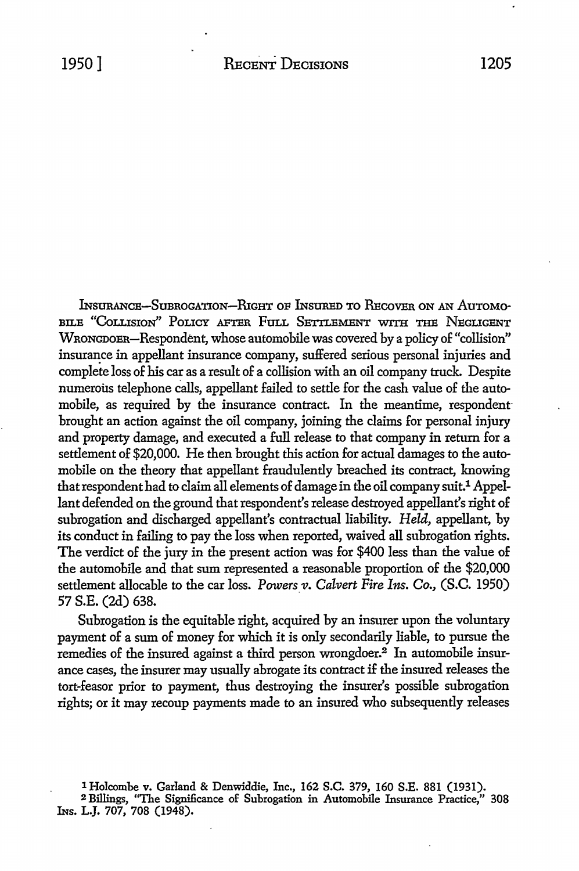INSURANCE-SUBROGATION-RIGHT OF INSURED TO RECOVER ON AN AUTOMO-BILE "COLLISION" POLICY AFTER FULL SETTLEMENT WITH THE NEGLIGENT WRONGDOER-Respondent, whose automobile was covered by a policy of "collision" insurance in appellant insurance company, suffered serious personal injuries and complete loss 0£ his car as a result 0£ a collision with an oil company truck. Despite numerous telephone calls, appellant failed to settle for the cash value of the automobile, as required by the insurance contract. In the meantime, respondent brought an action against the oil company, joining the claims for personal injury and property damage, and executed a £ull release *to* that company in return for a settlement of \$20,000. He then brought this action for actual damages to the automobile on the theory that appellant fraudulently breached its contract, knowing that respondent had to claim all elements of damage in the oil company suit.<sup>1</sup> Appellant defended on the ground that respondent's release destroyed appellant's right of subrogation and discharged appellant's contractual liability. *Held,* appellant, by its conduct in £ailing to pay the loss when reported, waived all subrogation rights. The verdict of the jury in the present action was for \$400 less than the value of the automobile and that sum represented a reasonable proportion of the \$20,000 settlement allocable to the car loss. *Powers v. Calvert Fire Ins. Co.*, (S.C. 1950) 57 S.E. (2d) 638.

Subrogation is the equitable right, acquired by an insurer upon the voluntary payment 0£ a sum of money for which it is only secondarily liable, to pursue the remedies of the insured against a third person wrongdoer.<sup>2</sup> In automobile insurance cases, the insurer may usually abrogate its contract i£ the insured releases the tort-£easor prior to payment, thus destroying the insurer's possible subrogation rights; or it may recoup payments made to an insured who subsequently releases

<sup>1</sup> Holcombe v. Garland & Denwiddie, Inc., 162 S.C. 379, 160 S.E. 881 (1931).

<sup>2</sup> Billings, "The Significance of Subrogation in Automobile Insurance Practice," 308 lNs. L.J. 707, 708 (1948).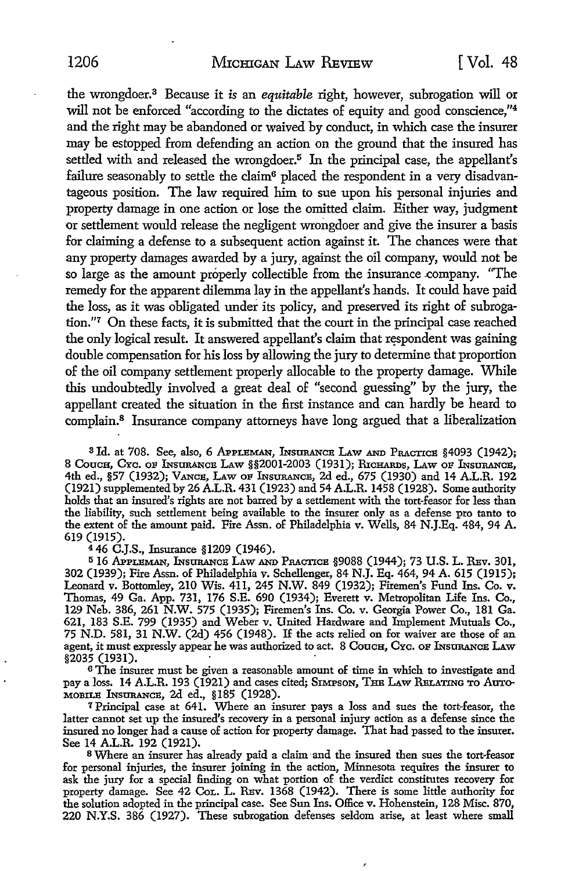the wrongdoer.<sup>3</sup>Because it *is* an *equitable* right, however, subrogation will or will not be enforced "according to the dictates of equity and good conscience,"<sup>4</sup> and the right may be abandoned or waived by conduct, in which case the insurer may be estopped from defending an action on the ground that the insured has settled with and released the wrongdoer.<sup>5</sup> In the principal case, the appellant's failure seasonably to settle the claim<sup>6</sup> placed the respondent in a very disadvantageous position. The law required him to sue upon his personal injuries and property damage in one action or lose the omitted claim. Either way, judgment or settlement would release the negligent wrongdoer and give the insurer a basis for claiming a defense to a subsequent action against it The chances were that any property damages awarded by a jury, against the oil company, would not be so large as the amount properly collectible from the insurance company. "The remedy for the apparent dilemma lay in the appellant's hands. It could have paid the loss, as it was obligated under its policy, and preserved its right of subrogation."7 On these facts, it is submitted that the court in the principal case reached the only logical result. It answered appellant's claim that respondent was gaining double compensation for his loss by allowing the jury to determine that proportion of the oil company settlement properly allocable to the property damage. While this undoubtedly involved a great deal of "second guessing" by the jury, the appellant created the situation in the first instance and can hardly be heard to complain.8 Insurance company attorneys have long argued that a liberalization

<sup>3</sup>Id. at 708. See, also, 6 APPLEMAN, INsURANCE LAw AND PRACTICE §4093 (1942); 8 Couch, Cyc. of Insurance Law §§2001-2003 (1931); RICHARDS, LAW OF INSURANCE, 4th ed., §57 (1932); Vance, Law or Insurance, 2d ed., 675 (1930) and 14 A.L.R. 192 (1921) supplemented by 26 A.L.R. 431 (1923) and 54 A.L.R. 1458 (1928). Some authority holds that an insured's rights are not barred by a settlement with the tort-feasor for less than the liability, such settlement being available to the insurer only as a defense pro tanto to the extent of the amount paid. Fire Assn. of Philadelphia v. Wells, 84 N.J.Eq. 484, 94 A. 619 (1915).

<sup>4</sup>46 C.J.S., Insurance §1209 (1946).

<sup>5</sup>16 APPLBMAN, INsURANcE LAw AND PRACTICE §9088 (1944); 73 U.S. L. REv. 301, 302 (1939); Fire Assn. of Philadelphia v. Schellenger, 84 N.J. Eq. 464, 94 A. 615 (1915); Leonard v. Bottomley, 210 Wis. 411, 245 N.W. 849 (1932); Firemen's Fund Ins. Co. v. Thomas, 49 Ga. App. 731, 176 S.E. 690 (1934); Everett v. Metropolitan Life Ins. Co., 129 Neb. 386, 261 N.W. 575 (1935); Firemen's Ins. Co. v. Georgia Power Co., 181 Ga. 621, 183 S.E. 799 (1935) and Weber v. United Hardware and Implement Mutuals Co., 75 N.D. 581, 31 N.W. (2d) 456 (1948). If the acts relied on for waiver are those of an agent, it must expressly appear he was authorized to act. 8 Couch, Cyc. OF INSURANCE LAW §2035 (1931).

<sup>6</sup>The insurer must be given a reasonable amount of time in which to investigate and pay a loss. 14 A.L.R. 193 (1921) and cases cited; SIMPSON, THE LAW RELATING TO AUTO-MOBILE INsURANcE, 2d ed., §185 (1928).

<sup>7</sup>Principal case at 641. Where an insurer pays a loss and sues the tort-feasor, the latter cannot set up the insured's recovery in a personal injury action as a defense since the insured no longer had a cause of action for property damage. That had passed to the insurer. See 14 A.L.R. 192 (1921).

8 Where an insurer has already paid a claim and the insured then sues the tort-feasor for personal injuries, the insurer joining in the action, Minnesota requires the insurer to ask the jury for a special finding on what portion of the verdict constitutes recovery for property damage. See 42 Cor. L. REv. 1368 (1942). There is some little authority for the solution adopted in the principal case. See Sun Ins. Office v. Hohenstein, 128 Misc. 870, 220 N.Y.S. 386 (1927). These subrogation defenses seldom arise, at least where small